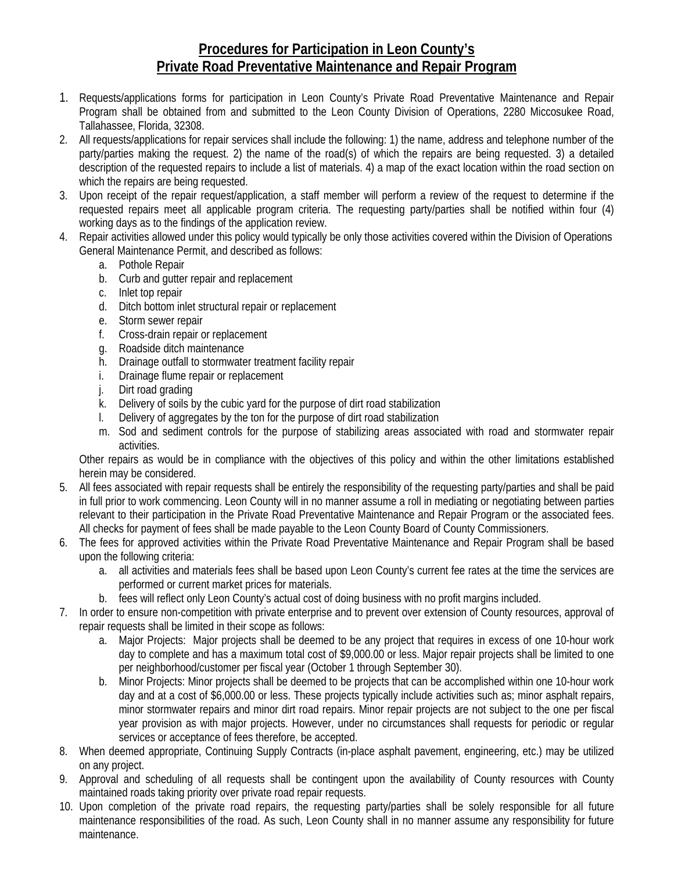# **Procedures for Participation in Leon County's Private Road Preventative Maintenance and Repair Program**

- 1. Requests/applications forms for participation in Leon County's Private Road Preventative Maintenance and Repair Program shall be obtained from and submitted to the Leon County Division of Operations, 2280 Miccosukee Road, Tallahassee, Florida, 32308.
- 2. All requests/applications for repair services shall include the following: 1) the name, address and telephone number of the party/parties making the request. 2) the name of the road(s) of which the repairs are being requested. 3) a detailed description of the requested repairs to include a list of materials. 4) a map of the exact location within the road section on which the repairs are being requested.
- 3. Upon receipt of the repair request/application, a staff member will perform a review of the request to determine if the requested repairs meet all applicable program criteria. The requesting party/parties shall be notified within four (4) working days as to the findings of the application review.
- 4. Repair activities allowed under this policy would typically be only those activities covered within the Division of Operations General Maintenance Permit, and described as follows:
	- a. Pothole Repair
	- b. Curb and gutter repair and replacement
	- c. Inlet top repair
	- d. Ditch bottom inlet structural repair or replacement
	- e. Storm sewer repair
	- f. Cross-drain repair or replacement
	- g. Roadside ditch maintenance
	- h. Drainage outfall to stormwater treatment facility repair
	- i. Drainage flume repair or replacement
	- j. Dirt road grading
	- k. Delivery of soils by the cubic yard for the purpose of dirt road stabilization
	- l. Delivery of aggregates by the ton for the purpose of dirt road stabilization
	- m. Sod and sediment controls for the purpose of stabilizing areas associated with road and stormwater repair activities.

Other repairs as would be in compliance with the objectives of this policy and within the other limitations established herein may be considered.

- 5. All fees associated with repair requests shall be entirely the responsibility of the requesting party/parties and shall be paid in full prior to work commencing. Leon County will in no manner assume a roll in mediating or negotiating between parties relevant to their participation in the Private Road Preventative Maintenance and Repair Program or the associated fees. All checks for payment of fees shall be made payable to the Leon County Board of County Commissioners.
- 6. The fees for approved activities within the Private Road Preventative Maintenance and Repair Program shall be based upon the following criteria:
	- a. all activities and materials fees shall be based upon Leon County's current fee rates at the time the services are performed or current market prices for materials.
	- b. fees will reflect only Leon County's actual cost of doing business with no profit margins included.
- 7. In order to ensure non-competition with private enterprise and to prevent over extension of County resources, approval of repair requests shall be limited in their scope as follows:
	- a. Major Projects: Major projects shall be deemed to be any project that requires in excess of one 10-hour work day to complete and has a maximum total cost of \$9,000.00 or less. Major repair projects shall be limited to one per neighborhood/customer per fiscal year (October 1 through September 30).
	- b. Minor Projects: Minor projects shall be deemed to be projects that can be accomplished within one 10-hour work day and at a cost of \$6,000.00 or less. These projects typically include activities such as; minor asphalt repairs, minor stormwater repairs and minor dirt road repairs. Minor repair projects are not subject to the one per fiscal year provision as with major projects. However, under no circumstances shall requests for periodic or regular services or acceptance of fees therefore, be accepted.
- 8. When deemed appropriate, Continuing Supply Contracts (in-place asphalt pavement, engineering, etc.) may be utilized on any project.
- 9. Approval and scheduling of all requests shall be contingent upon the availability of County resources with County maintained roads taking priority over private road repair requests.
- 10. Upon completion of the private road repairs, the requesting party/parties shall be solely responsible for all future maintenance responsibilities of the road. As such, Leon County shall in no manner assume any responsibility for future maintenance.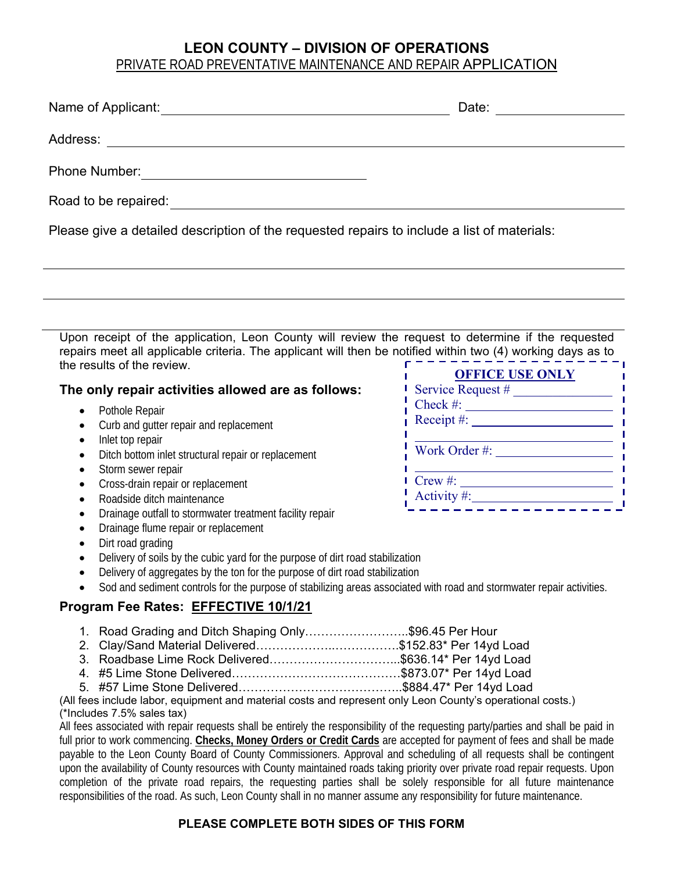# **LEON COUNTY – DIVISION OF OPERATIONS**  PRIVATE ROAD PREVENTATIVE MAINTENANCE AND REPAIR APPLICATION

| Name of Applicant:                                                                          | Date: |
|---------------------------------------------------------------------------------------------|-------|
| Address:                                                                                    |       |
| <b>Phone Number:</b>                                                                        |       |
| Road to be repaired:                                                                        |       |
| Please give a detailed description of the requested repairs to include a list of materials: |       |

Upon receipt of the application, Leon County will review the request to determine if the requested repairs meet all applicable criteria. The applicant will then be notified within two (4) working days as to the results of the review.

### **The only repair activities allowed are as follows:**

- Pothole Repair
- Curb and gutter repair and replacement
- Inlet top repair
- Ditch bottom inlet structural repair or replacement
- Storm sewer repair
- Cross-drain repair or replacement
- Roadside ditch maintenance
- Drainage outfall to stormwater treatment facility repair
- Drainage flume repair or replacement
- Dirt road grading
- Delivery of soils by the cubic yard for the purpose of dirt road stabilization
- Delivery of aggregates by the ton for the purpose of dirt road stabilization
- Sod and sediment controls for the purpose of stabilizing areas associated with road and stormwater repair activities.

# **Program Fee Rates: EFFECTIVE 10/1/21**

- 1. Road Grading and Ditch Shaping Only……………………..\$96.45 Per Hour
- 2. Clay/Sand Material Delivered………………..…………….\$152.83\* Per 14yd Load
- 3. Roadbase Lime Rock Delivered…………………………...\$636.14\* Per 14yd Load
- 4. #5 Lime Stone Delivered……………………………………\$873.07\* Per 14yd Load
- 5. #57 Lime Stone Delivered…………………………………..\$884.47\* Per 14yd Load

#### (All fees include labor, equipment and material costs and represent only Leon County's operational costs.) (\*Includes 7.5% sales tax)

All fees associated with repair requests shall be entirely the responsibility of the requesting party/parties and shall be paid in full prior to work commencing. **Checks, Money Orders or Credit Cards** are accepted for payment of fees and shall be made payable to the Leon County Board of County Commissioners. Approval and scheduling of all requests shall be contingent upon the availability of County resources with County maintained roads taking priority over private road repair requests. Upon completion of the private road repairs, the requesting parties shall be solely responsible for all future maintenance responsibilities of the road. As such, Leon County shall in no manner assume any responsibility for future maintenance.

### **PLEASE COMPLETE BOTH SIDES OF THIS FORM**